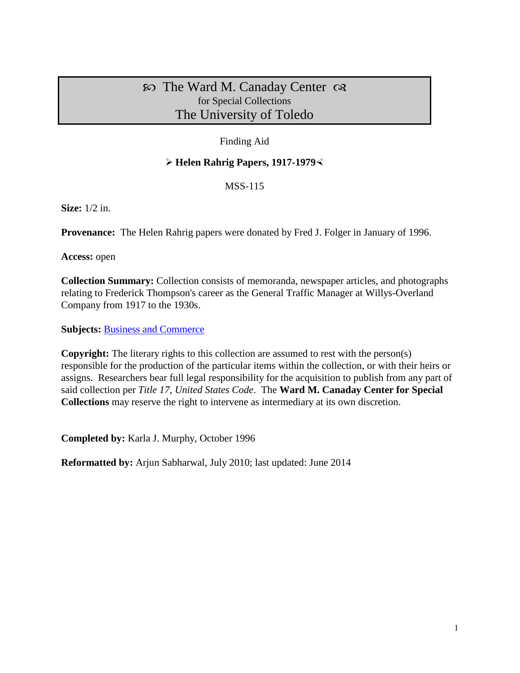# $\infty$  The Ward M. Canaday Center  $\infty$ for Special Collections The University of Toledo

## Finding Aid

## **Helen Rahrig Papers, 1917-1979**

### MSS-115

**Size:** 1/2 in.

**Provenance:** The Helen Rahrig papers were donated by Fred J. Folger in January of 1996.

**Access:** open

**Collection Summary:** Collection consists of memoranda, newspaper articles, and photographs relating to Frederick Thompson's career as the General Traffic Manager at Willys-Overland Company from 1917 to the 1930s.

**Subjects: [Business and Commerce](http://www.utoledo.edu/library/canaday/guidepages/business.html)** 

**Copyright:** The literary rights to this collection are assumed to rest with the person(s) responsible for the production of the particular items within the collection, or with their heirs or assigns. Researchers bear full legal responsibility for the acquisition to publish from any part of said collection per *Title 17, United States Code*. The **Ward M. Canaday Center for Special Collections** may reserve the right to intervene as intermediary at its own discretion.

**Completed by:** Karla J. Murphy, October 1996

**Reformatted by:** Arjun Sabharwal, July 2010; last updated: June 2014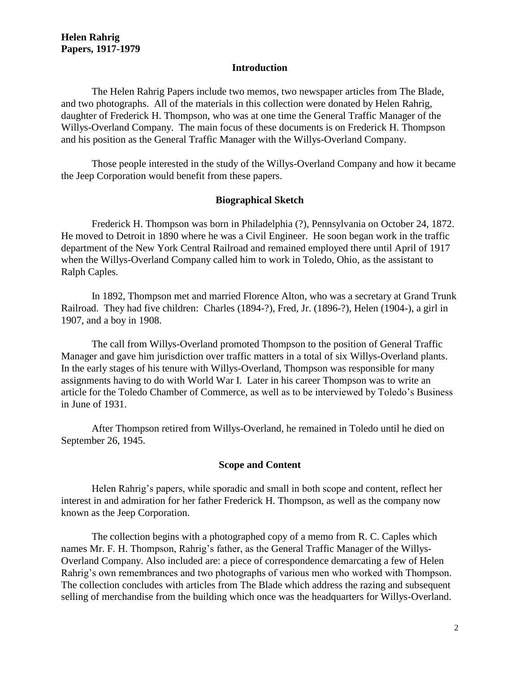#### **Introduction**

The Helen Rahrig Papers include two memos, two newspaper articles from The Blade, and two photographs. All of the materials in this collection were donated by Helen Rahrig, daughter of Frederick H. Thompson, who was at one time the General Traffic Manager of the Willys-Overland Company. The main focus of these documents is on Frederick H. Thompson and his position as the General Traffic Manager with the Willys-Overland Company.

Those people interested in the study of the Willys-Overland Company and how it became the Jeep Corporation would benefit from these papers.

#### **Biographical Sketch**

Frederick H. Thompson was born in Philadelphia (?), Pennsylvania on October 24, 1872. He moved to Detroit in 1890 where he was a Civil Engineer. He soon began work in the traffic department of the New York Central Railroad and remained employed there until April of 1917 when the Willys-Overland Company called him to work in Toledo, Ohio, as the assistant to Ralph Caples.

In 1892, Thompson met and married Florence Alton, who was a secretary at Grand Trunk Railroad. They had five children: Charles (1894-?), Fred, Jr. (1896-?), Helen (1904-), a girl in 1907, and a boy in 1908.

The call from Willys-Overland promoted Thompson to the position of General Traffic Manager and gave him jurisdiction over traffic matters in a total of six Willys-Overland plants. In the early stages of his tenure with Willys-Overland, Thompson was responsible for many assignments having to do with World War I. Later in his career Thompson was to write an article for the Toledo Chamber of Commerce, as well as to be interviewed by Toledo's Business in June of 1931.

After Thompson retired from Willys-Overland, he remained in Toledo until he died on September 26, 1945.

#### **Scope and Content**

Helen Rahrig's papers, while sporadic and small in both scope and content, reflect her interest in and admiration for her father Frederick H. Thompson, as well as the company now known as the Jeep Corporation.

The collection begins with a photographed copy of a memo from R. C. Caples which names Mr. F. H. Thompson, Rahrig's father, as the General Traffic Manager of the Willys-Overland Company. Also included are: a piece of correspondence demarcating a few of Helen Rahrig's own remembrances and two photographs of various men who worked with Thompson. The collection concludes with articles from The Blade which address the razing and subsequent selling of merchandise from the building which once was the headquarters for Willys-Overland.